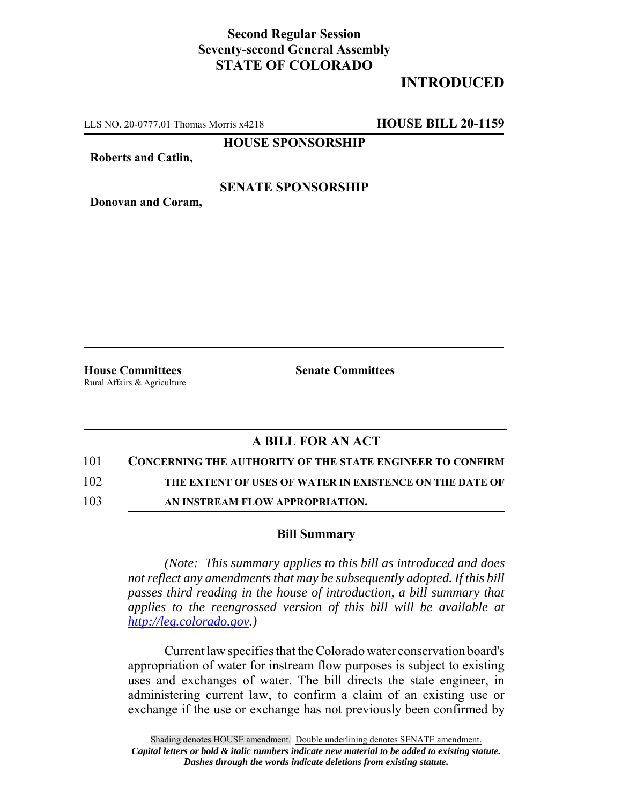## **Second Regular Session Seventy-second General Assembly STATE OF COLORADO**

# **INTRODUCED**

LLS NO. 20-0777.01 Thomas Morris x4218 **HOUSE BILL 20-1159**

**HOUSE SPONSORSHIP**

**Roberts and Catlin,**

#### **SENATE SPONSORSHIP**

**Donovan and Coram,**

**House Committees Senate Committees** Rural Affairs & Agriculture

### **A BILL FOR AN ACT**

101 **CONCERNING THE AUTHORITY OF THE STATE ENGINEER TO CONFIRM**

102 **THE EXTENT OF USES OF WATER IN EXISTENCE ON THE DATE OF**

103 **AN INSTREAM FLOW APPROPRIATION.**

#### **Bill Summary**

*(Note: This summary applies to this bill as introduced and does not reflect any amendments that may be subsequently adopted. If this bill passes third reading in the house of introduction, a bill summary that applies to the reengrossed version of this bill will be available at http://leg.colorado.gov.)*

Current law specifies that the Colorado water conservation board's appropriation of water for instream flow purposes is subject to existing uses and exchanges of water. The bill directs the state engineer, in administering current law, to confirm a claim of an existing use or exchange if the use or exchange has not previously been confirmed by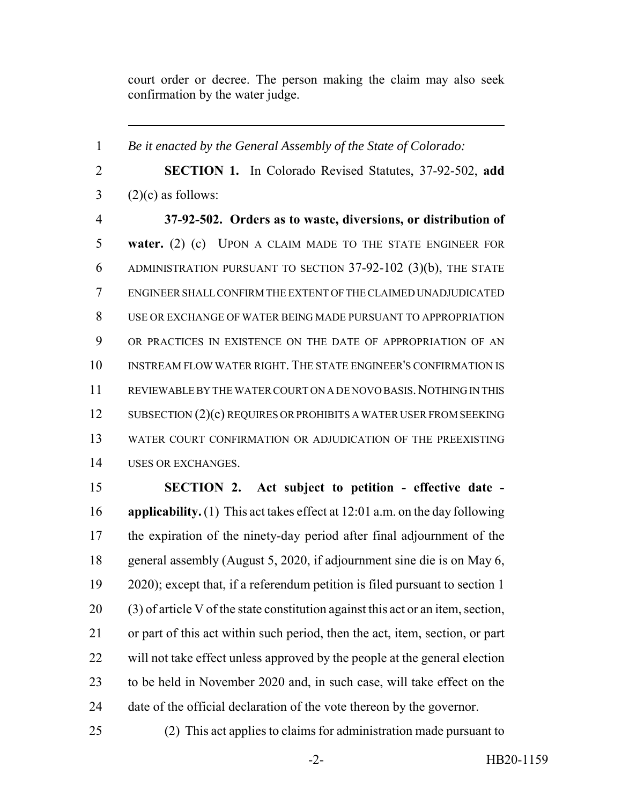court order or decree. The person making the claim may also seek confirmation by the water judge.

 *Be it enacted by the General Assembly of the State of Colorado:* **SECTION 1.** In Colorado Revised Statutes, 37-92-502, **add**  $3 \quad (2)(c)$  as follows: **37-92-502. Orders as to waste, diversions, or distribution of water.** (2) (c) UPON A CLAIM MADE TO THE STATE ENGINEER FOR ADMINISTRATION PURSUANT TO SECTION 37-92-102 (3)(b), THE STATE ENGINEER SHALL CONFIRM THE EXTENT OF THE CLAIMED UNADJUDICATED USE OR EXCHANGE OF WATER BEING MADE PURSUANT TO APPROPRIATION OR PRACTICES IN EXISTENCE ON THE DATE OF APPROPRIATION OF AN INSTREAM FLOW WATER RIGHT. THE STATE ENGINEER'S CONFIRMATION IS 11 REVIEWABLE BY THE WATER COURT ON A DE NOVO BASIS. NOTHING IN THIS 12 SUBSECTION (2)(c) REQUIRES OR PROHIBITS A WATER USER FROM SEEKING WATER COURT CONFIRMATION OR ADJUDICATION OF THE PREEXISTING USES OR EXCHANGES. **SECTION 2. Act subject to petition - effective date - applicability.** (1) This act takes effect at 12:01 a.m. on the day following the expiration of the ninety-day period after final adjournment of the general assembly (August 5, 2020, if adjournment sine die is on May 6,

 2020); except that, if a referendum petition is filed pursuant to section 1 (3) of article V of the state constitution against this act or an item, section, or part of this act within such period, then the act, item, section, or part will not take effect unless approved by the people at the general election to be held in November 2020 and, in such case, will take effect on the date of the official declaration of the vote thereon by the governor.

(2) This act applies to claims for administration made pursuant to